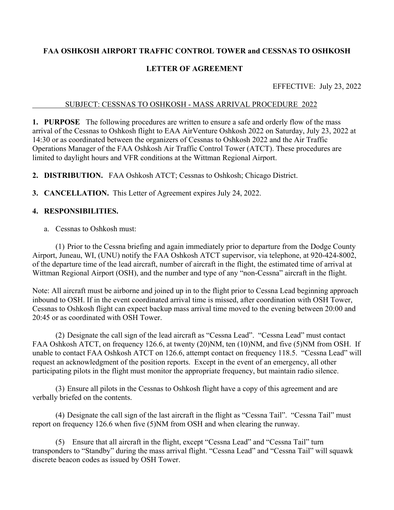# **FAA OSHKOSH AIRPORT TRAFFIC CONTROL TOWER and CESSNAS TO OSHKOSH**

## **LETTER OF AGREEMENT**

EFFECTIVE: July 23, 2022

#### SUBJECT: CESSNAS TO OSHKOSH - MASS ARRIVAL PROCEDURE 2022

**1. PURPOSE** The following procedures are written to ensure a safe and orderly flow of the mass arrival of the Cessnas to Oshkosh flight to EAA AirVenture Oshkosh 2022 on Saturday, July 23, 2022 at 14:30 or as coordinated between the organizers of Cessnas to Oshkosh 2022 and the Air Traffic Operations Manager of the FAA Oshkosh Air Traffic Control Tower (ATCT). These procedures are limited to daylight hours and VFR conditions at the Wittman Regional Airport.

**2. DISTRIBUTION.** FAA Oshkosh ATCT; Cessnas to Oshkosh; Chicago District.

**3. CANCELLATION.** This Letter of Agreement expires July 24, 2022.

## **4. RESPONSIBILITIES.**

a. Cessnas to Oshkosh must:

 (1) Prior to the Cessna briefing and again immediately prior to departure from the Dodge County Airport, Juneau, WI, (UNU) notify the FAA Oshkosh ATCT supervisor, via telephone, at 920-424-8002, of the departure time of the lead aircraft, number of aircraft in the flight, the estimated time of arrival at Wittman Regional Airport (OSH), and the number and type of any "non-Cessna" aircraft in the flight.

Note: All aircraft must be airborne and joined up in to the flight prior to Cessna Lead beginning approach inbound to OSH. If in the event coordinated arrival time is missed, after coordination with OSH Tower, Cessnas to Oshkosh flight can expect backup mass arrival time moved to the evening between 20:00 and 20:45 or as coordinated with OSH Tower.

 (2) Designate the call sign of the lead aircraft as "Cessna Lead". "Cessna Lead" must contact FAA Oshkosh ATCT, on frequency 126.6, at twenty (20)NM, ten (10)NM, and five (5)NM from OSH. If unable to contact FAA Oshkosh ATCT on 126.6, attempt contact on frequency 118.5. "Cessna Lead" will request an acknowledgment of the position reports. Except in the event of an emergency, all other participating pilots in the flight must monitor the appropriate frequency, but maintain radio silence.

 (3) Ensure all pilots in the Cessnas to Oshkosh flight have a copy of this agreement and are verbally briefed on the contents.

 (4) Designate the call sign of the last aircraft in the flight as "Cessna Tail". "Cessna Tail" must report on frequency 126.6 when five (5)NM from OSH and when clearing the runway.

 (5) Ensure that all aircraft in the flight, except "Cessna Lead" and "Cessna Tail" turn transponders to "Standby" during the mass arrival flight. "Cessna Lead" and "Cessna Tail" will squawk discrete beacon codes as issued by OSH Tower.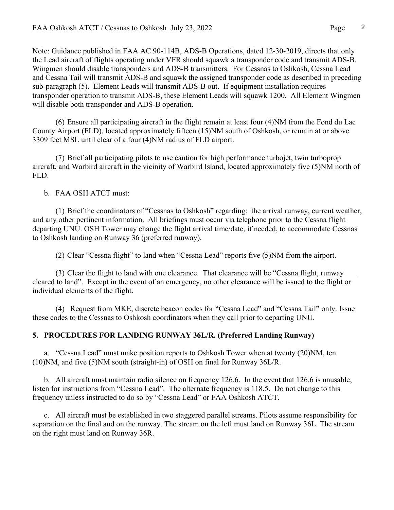Note: Guidance published in FAA AC 90-114B, ADS-B Operations, dated 12-30-2019, directs that only the Lead aircraft of flights operating under VFR should squawk a transponder code and transmit ADS-B. Wingmen should disable transponders and ADS-B transmitters. For Cessnas to Oshkosh, Cessna Lead and Cessna Tail will transmit ADS-B and squawk the assigned transponder code as described in preceding sub-paragraph (5). Element Leads will transmit ADS-B out. If equipment installation requires transponder operation to transmit ADS-B, these Element Leads will squawk 1200. All Element Wingmen will disable both transponder and ADS-B operation.

 (6) Ensure all participating aircraft in the flight remain at least four (4)NM from the Fond du Lac County Airport (FLD), located approximately fifteen (15)NM south of Oshkosh, or remain at or above 3309 feet MSL until clear of a four (4)NM radius of FLD airport.

 (7) Brief all participating pilots to use caution for high performance turbojet, twin turboprop aircraft, and Warbird aircraft in the vicinity of Warbird Island, located approximately five (5)NM north of FLD.

#### b. FAA OSH ATCT must:

 (1) Brief the coordinators of "Cessnas to Oshkosh" regarding: the arrival runway, current weather, and any other pertinent information. All briefings must occur via telephone prior to the Cessna flight departing UNU. OSH Tower may change the flight arrival time/date, if needed, to accommodate Cessnas to Oshkosh landing on Runway 36 (preferred runway).

(2) Clear "Cessna flight" to land when "Cessna Lead" reports five (5)NM from the airport.

(3) Clear the flight to land with one clearance. That clearance will be "Cessna flight, runway cleared to land". Except in the event of an emergency, no other clearance will be issued to the flight or individual elements of the flight.

 (4) Request from MKE, discrete beacon codes for "Cessna Lead" and "Cessna Tail" only. Issue these codes to the Cessnas to Oshkosh coordinators when they call prior to departing UNU.

### **5. PROCEDURES FOR LANDING RUNWAY 36L/R. (Preferred Landing Runway)**

a. "Cessna Lead" must make position reports to Oshkosh Tower when at twenty (20)NM, ten (10)NM, and five (5)NM south (straight-in) of OSH on final for Runway 36L/R.

 b. All aircraft must maintain radio silence on frequency 126.6. In the event that 126.6 is unusable, listen for instructions from "Cessna Lead". The alternate frequency is 118.5. Do not change to this frequency unless instructed to do so by "Cessna Lead" or FAA Oshkosh ATCT.

 c. All aircraft must be established in two staggered parallel streams. Pilots assume responsibility for separation on the final and on the runway. The stream on the left must land on Runway 36L. The stream on the right must land on Runway 36R.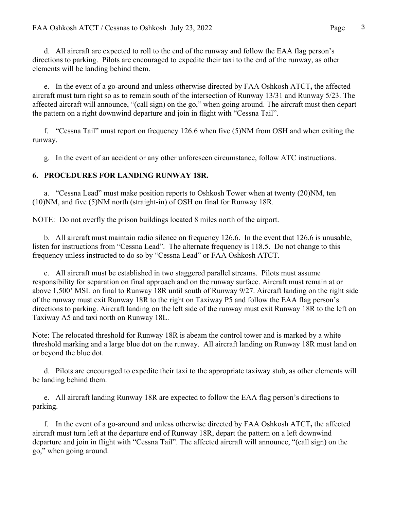d. All aircraft are expected to roll to the end of the runway and follow the EAA flag person's directions to parking. Pilots are encouraged to expedite their taxi to the end of the runway, as other elements will be landing behind them.

 e. In the event of a go-around and unless otherwise directed by FAA Oshkosh ATCT**,** the affected aircraft must turn right so as to remain south of the intersection of Runway 13/31 and Runway 5/23. The affected aircraft will announce, "(call sign) on the go," when going around. The aircraft must then depart the pattern on a right downwind departure and join in flight with "Cessna Tail".

 f. "Cessna Tail" must report on frequency 126.6 when five (5)NM from OSH and when exiting the runway.

g. In the event of an accident or any other unforeseen circumstance, follow ATC instructions.

## **6. PROCEDURES FOR LANDING RUNWAY 18R.**

a. "Cessna Lead" must make position reports to Oshkosh Tower when at twenty (20)NM, ten (10)NM, and five (5)NM north (straight-in) of OSH on final for Runway 18R.

NOTE: Do not overfly the prison buildings located 8 miles north of the airport.

 b. All aircraft must maintain radio silence on frequency 126.6. In the event that 126.6 is unusable, listen for instructions from "Cessna Lead". The alternate frequency is 118.5. Do not change to this frequency unless instructed to do so by "Cessna Lead" or FAA Oshkosh ATCT.

 c. All aircraft must be established in two staggered parallel streams. Pilots must assume responsibility for separation on final approach and on the runway surface. Aircraft must remain at or above 1,500' MSL on final to Runway 18R until south of Runway 9/27. Aircraft landing on the right side of the runway must exit Runway 18R to the right on Taxiway P5 and follow the EAA flag person's directions to parking. Aircraft landing on the left side of the runway must exit Runway 18R to the left on Taxiway A5 and taxi north on Runway 18L.

Note: The relocated threshold for Runway 18R is abeam the control tower and is marked by a white threshold marking and a large blue dot on the runway. All aircraft landing on Runway 18R must land on or beyond the blue dot.

 d. Pilots are encouraged to expedite their taxi to the appropriate taxiway stub, as other elements will be landing behind them.

 e. All aircraft landing Runway 18R are expected to follow the EAA flag person's directions to parking.

 f. In the event of a go-around and unless otherwise directed by FAA Oshkosh ATCT**,** the affected aircraft must turn left at the departure end of Runway 18R, depart the pattern on a left downwind departure and join in flight with "Cessna Tail". The affected aircraft will announce, "(call sign) on the go," when going around.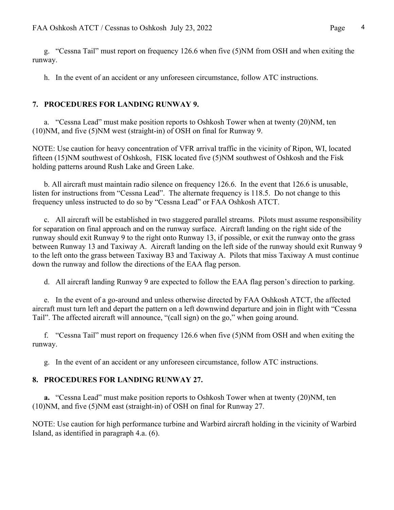g. "Cessna Tail" must report on frequency 126.6 when five (5)NM from OSH and when exiting the runway.

h. In the event of an accident or any unforeseen circumstance, follow ATC instructions.

#### **7. PROCEDURES FOR LANDING RUNWAY 9.**

a. "Cessna Lead" must make position reports to Oshkosh Tower when at twenty (20)NM, ten (10)NM, and five (5)NM west (straight-in) of OSH on final for Runway 9.

NOTE: Use caution for heavy concentration of VFR arrival traffic in the vicinity of Ripon, WI, located fifteen (15)NM southwest of Oshkosh, FISK located five (5)NM southwest of Oshkosh and the Fisk holding patterns around Rush Lake and Green Lake.

 b. All aircraft must maintain radio silence on frequency 126.6. In the event that 126.6 is unusable, listen for instructions from "Cessna Lead". The alternate frequency is 118.5. Do not change to this frequency unless instructed to do so by "Cessna Lead" or FAA Oshkosh ATCT.

 c. All aircraft will be established in two staggered parallel streams. Pilots must assume responsibility for separation on final approach and on the runway surface. Aircraft landing on the right side of the runway should exit Runway 9 to the right onto Runway 13, if possible, or exit the runway onto the grass between Runway 13 and Taxiway A. Aircraft landing on the left side of the runway should exit Runway 9 to the left onto the grass between Taxiway B3 and Taxiway A. Pilots that miss Taxiway A must continue down the runway and follow the directions of the EAA flag person.

d. All aircraft landing Runway 9 are expected to follow the EAA flag person's direction to parking.

 e. In the event of a go-around and unless otherwise directed by FAA Oshkosh ATCT, the affected aircraft must turn left and depart the pattern on a left downwind departure and join in flight with "Cessna Tail". The affected aircraft will announce, "(call sign) on the go," when going around.

 f. "Cessna Tail" must report on frequency 126.6 when five (5)NM from OSH and when exiting the runway.

g. In the event of an accident or any unforeseen circumstance, follow ATC instructions.

### **8. PROCEDURES FOR LANDING RUNWAY 27.**

 **a.** "Cessna Lead" must make position reports to Oshkosh Tower when at twenty (20)NM, ten (10)NM, and five (5)NM east (straight-in) of OSH on final for Runway 27.

NOTE: Use caution for high performance turbine and Warbird aircraft holding in the vicinity of Warbird Island, as identified in paragraph 4.a. (6).